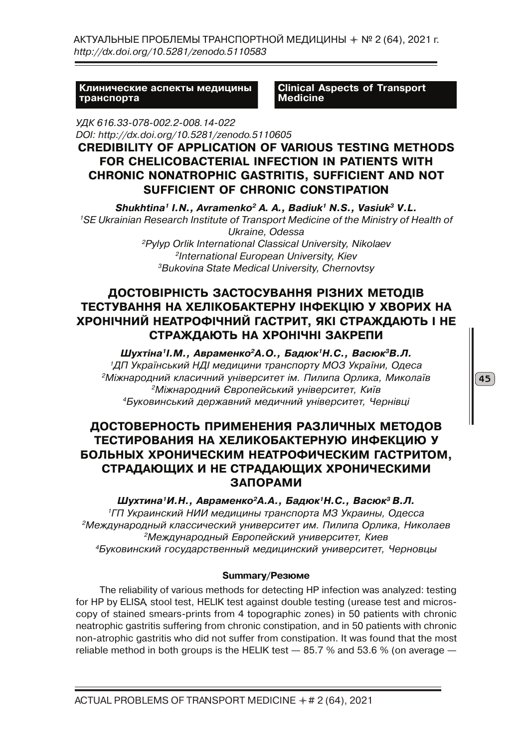АКТУАЛЬНЫЕ ПРОБЛЕМЫ ТРАНСПОРТНОЙ МЕДИЦИНЫ ✦ № 2 (64), 2021 г. *http://dx.doi.org/10.5281/zenodo.5110583*

**Клинические аспекты медицины транспорта**

**Clinical Aspects of Transport Medicine**

*УДК 616.33-078-002.2-008.14-022 DOI: http://dx.doi.org/10.5281/zenodo.5110605*

## **CREDIBILITY OF APPLICATION OF VARIOUS TESTING METHODS FOR CHELICOBACTERIAL INFECTION IN PATIENTS WITH CHRONIC NONATROPHIC GASTRITIS, SUFFICIENT AND NOT SUFFICIENT OF CHRONIC CONSTIPATION**

*Shukhtina1 I.N., Avramenko2 A. A., Badiuk1 N.S., Vasiuk3 V.L. 1SE Ukrainian Research Institute of Transport Medicine of the Ministry of Health of Ukraine, Odessa 2Pylyp Orlik International Classical University, Nikolaev 2International European University, Kiev 3Bukovina State Medical University, Chernovtsy*

# **ДОСТОВІРНІСТЬ ЗАСТОСУВАННЯ РІЗНИХ МЕТОДІВ ТЕСТУВАННЯ НА ХЕЛІКОБАКТЕРНУ ІНФЕКЦІЮ У ХВОРИХ НА ХРОНІЧНИЙ НЕАТРОФІЧНИЙ ГАСТРИТ, ЯКІ СТРАЖДАЮТЬ І НЕ СТРАЖДАЮТЬ НА ХРОНІЧНІ ЗАКРЕПИ**

*Шухтіна1І.М., Авраменко2А.О., Бадюк1Н.С., Васюк3В.Л. 1ДП Український НДІ медицини транспорту МОЗ України, Одеса 2Міжнародний класичний університет ім. Пилипа Орлика, Миколаїв 2Міжнародний Європейський університет, Київ 4Буковинський державний медичний університет, Чернівці*

# **ДОСТОВЕРНОСТЬ ПРИМЕНЕНИЯ РАЗЛИЧНЫХ МЕТОДОВ ТЕСТИРОВАНИЯ НА ХЕЛИКОБАКТЕРНУЮ ИНФЕКЦИЮ У БОЛЬНЫХ ХРОНИЧЕСКИМ НЕАТРОФИЧЕСКИМ ГАСТРИТОМ, СТРАДАЮЩИХ И НЕ СТРАДАЮЩИХ ХРОНИЧЕСКИМИ ЗАПОРАМИ**

*Шухтина1И.Н., Авраменко2А.А., Бадюк1Н.С., Васюк3 В.Л. 1ГП Украинский НИИ медицины транспорта МЗ Украины, Одесса 2Международный классический университет им. Пилипа Орлика, Николаев 2Международный Европейский университет, Киев 4Буковинский государственный медицинский университет, Черновцы*

## **Summary/Резюме**

The reliability of various methods for detecting HP infection was analyzed: testing for HP by ELISA, stool test, HELIK test against double testing (urease test and microscopy of stained smears-prints from 4 topographic zones) in 50 patients with chronic neatrophic gastritis suffering from chronic constipation, and in 50 patients with chronic non-atrophic gastritis who did not suffer from constipation. It was found that the most reliable method in both groups is the HELIK test  $-$  85.7 % and 53.6 % (on average  $-$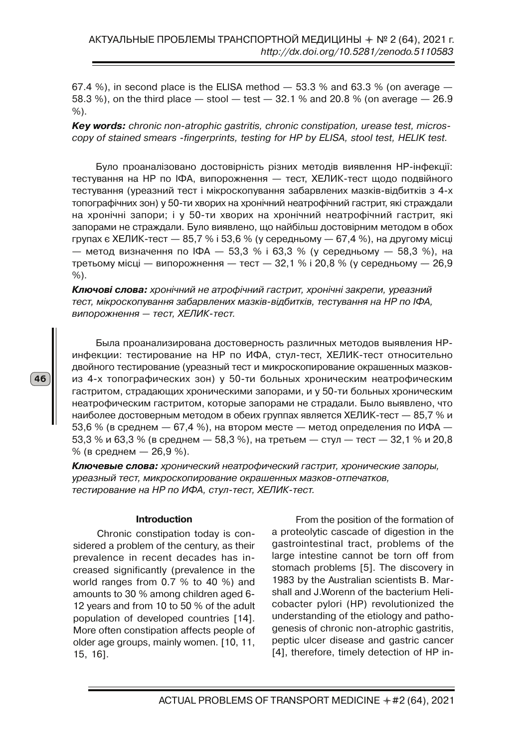67.4 %), in second place is the ELISA method  $-$  53.3 % and 63.3 % (on average  $-$ 58.3 %), on the third place  $-$  stool  $-$  test  $-$  32.1 % and 20.8 % (on average  $-$  26.9 %).

*Key words: chronic non-atrophic gastritis, chronic constipation, urease test, microscopy of stained smears -fingerprints, testing for HP by ELISA, stool test, HELIK test.*

Було проаналізовано достовірність різних методів виявлення НР-інфекції: тестування на НР по ІФА, випорожнення — тест, ХЕЛИК-тест щодо подвійного тестування (уреазний тест і мікроскопування забарвлених мазків-відбитків з 4-х топографічних зон) у 50-ти хворих на хронічний неатрофічний гастрит, які страждали на хронічні запори; і у 50-ти хворих на хронічний неатрофічний гастрит, які запорами не страждали. Було виявлено, що найбільш достовірним методом в обох групах є ХЕЛИК-тест — 85,7 % і 53,6 % (у середньому — 67,4 %), на другому місці — метод визначення по ІФА — 53,3 % і 63,3 % (у середньому — 58,3 %), на третьому місці — випорожнення — тест — 32,1 % і 20,8 % (у середньому — 26,9 %).

*Ключові слова: хронічний не атрофічний гастрит, хронічні закрепи, уреазний тест, мікроскопування забарвлених мазків-відбитків, тестування на НР по ІФА, випорожнення — тест, ХЕЛИК-тест.*

Была проанализирована достоверность различных методов выявления НРинфекции: тестирование на НР по ИФА, стул-тест, ХЕЛИК-тест относительно двойного тестирование (уреазный тест и микроскопирование окрашенных мазковиз 4-х топографических зон) у 50-ти больных хроническим неатрофическим гастритом, страдающих хроническими запорами, и у 50-ти больных хроническим неатрофическим гастритом, которые запорами не страдали. Было выявлено, что наиболее достоверным методом в обеих группах является ХЕЛИК-тест — 85,7 % и 53,6 % (в среднем — 67,4 %), на втором месте — метод определения по ИФА — 53,3 % и 63,3 % (в среднем — 58,3 %), на третьем — стул — тест — 32,1 % и 20,8 % (в среднем — 26,9 %).

*Ключевые слова: хронический неатрофический гастрит, хронические запоры, уреазный тест, микроскопирование окрашенных мазков-отпечатков, тестирование на НР по ИФА, стул-тест, ХЕЛИК-тест.*

#### **Introduction**

Chronic constipation today is considered a problem of the century, as their prevalence in recent decades has increased significantly (prevalence in the world ranges from 0.7 % to 40 %) and amounts to 30 % among children aged 6- 12 years and from 10 to 50 % of the adult population of developed countries [14]. More often constipation affects people of older age groups, mainly women. [10, 11, 15, 16].

From the position of the formation of a proteolytic cascade of digestion in the gastrointestinal tract, problems of the large intestine cannot be torn off from stomach problems [5]. The discovery in 1983 by the Australian scientists B. Marshall and J.Worenn of the bacterium Helicobacter pylori (HP) revolutionized the understanding of the etiology and pathogenesis of chronic non-atrophic gastritis, peptic ulcer disease and gastric cancer [4], therefore, timely detection of HP in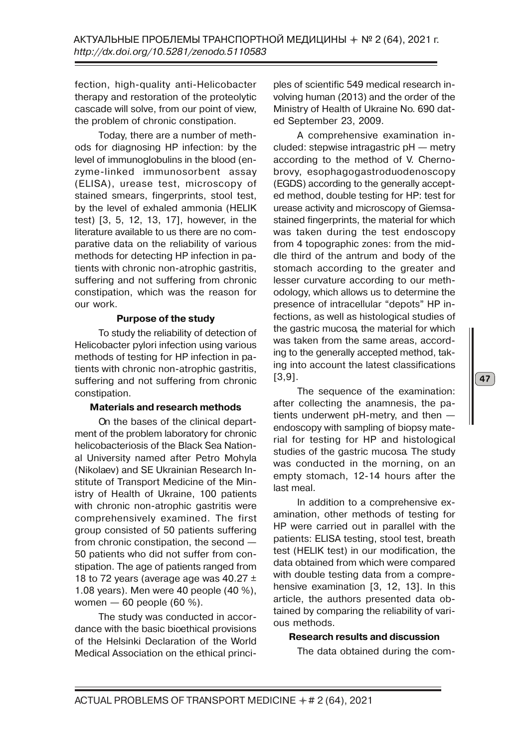fection, high-quality anti-Helicobacter therapy and restoration of the proteolytic cascade will solve, from our point of view, the problem of chronic constipation.

Today, there are a number of methods for diagnosing HP infection: by the level of immunoglobulins in the blood (enzyme-linked immunosorbent assay (ELISA), urease test, microscopy of stained smears, fingerprints, stool test, by the level of exhaled ammonia (HELIK test) [3, 5, 12, 13, 17], however, in the literature available to us there are no comparative data on the reliability of various methods for detecting HP infection in patients with chronic non-atrophic gastritis, suffering and not suffering from chronic constipation, which was the reason for our work.

## **Purpose of the study**

To study the reliability of detection of Helicobacter pylori infection using various methods of testing for HP infection in patients with chronic non-atrophic gastritis, suffering and not suffering from chronic constipation.

## **Materials and research methods**

On the bases of the clinical department of the problem laboratory for chronic helicobacteriosis of the Black Sea National University named after Petro Mohyla (Nikolaev) and SE Ukrainian Research Institute of Transport Medicine of the Ministry of Health of Ukraine, 100 patients with chronic non-atrophic gastritis were comprehensively examined. The first group consisted of 50 patients suffering from chronic constipation, the second — 50 patients who did not suffer from constipation. The age of patients ranged from 18 to 72 years (average age was  $40.27 \pm 1$ 1.08 years). Men were 40 people (40 %), women — 60 people (60 %).

The study was conducted in accordance with the basic bioethical provisions of the Helsinki Declaration of the World Medical Association on the ethical principles of scientific 549 medical research involving human (2013) and the order of the Ministry of Health of Ukraine No. 690 dated September 23, 2009.

A comprehensive examination included: stepwise intragastric pH — metry according to the method of V. Chernobrovy, esophagogastroduodenoscopy (EGDS) according to the generally accepted method, double testing for HP: test for urease activity and microscopy of Giemsastained fingerprints, the material for which was taken during the test endoscopy from 4 topographic zones: from the middle third of the antrum and body of the stomach according to the greater and lesser curvature according to our methodology, which allows us to determine the presence of intracellular "depots" HP infections, as well as histological studies of the gastric mucosa, the material for which was taken from the same areas, according to the generally accepted method, taking into account the latest classifications [3,9].

The sequence of the examination: after collecting the anamnesis, the patients underwent pH-metry, and then endoscopy with sampling of biopsy material for testing for HP and histological studies of the gastric mucosa. The study was conducted in the morning, on an empty stomach, 12-14 hours after the last meal.

In addition to a comprehensive examination, other methods of testing for HP were carried out in parallel with the patients: ELISA testing, stool test, breath test (HELIK test) in our modification, the data obtained from which were compared with double testing data from a comprehensive examination [3, 12, 13]. In this article, the authors presented data obtained by comparing the reliability of various methods.

## **Research results and discussion**

The data obtained during the com-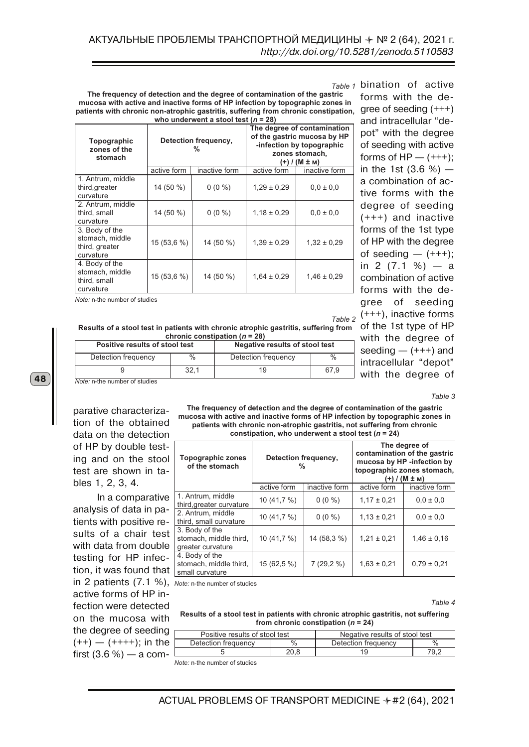bination of active *Table 1* gree of seeding (+++) **The frequency of detection and the degree of contamination of the gastric mucosa with active and inactive forms of HP infection by topographic zones in patients with chronic non-atrophic gastritis, suffering from chronic constipation, who underwent a stool test (***n* **= 28)** 

| Topographic<br>zones of the<br>stomach                           |             | Detection frequency,<br>% | The degree of contamination<br>of the gastric mucosa by HP<br>-infection by topographic<br>zones stomach,<br>(+) / (М ± м) |                 |  |
|------------------------------------------------------------------|-------------|---------------------------|----------------------------------------------------------------------------------------------------------------------------|-----------------|--|
|                                                                  | active form | inactive form             | active form                                                                                                                | inactive form   |  |
| 1. Antrum, middle<br>third, greater<br>curvature                 | 14 (50 %)   | $0(0\%)$                  | $1,29 \pm 0.29$                                                                                                            | $0.0 \pm 0.0$   |  |
| 2. Antrum, middle<br>third, small<br>curvature                   | 14 (50 %)   | $0(0\%)$                  | $1,18 \pm 0,29$                                                                                                            | $0.0 \pm 0.0$   |  |
| 3. Body of the<br>stomach, middle<br>third, greater<br>curvature | 15 (53,6 %) | 14 (50 %)                 | $1,39 \pm 0.29$                                                                                                            | $1,32 \pm 0.29$ |  |
| 4. Body of the<br>stomach, middle<br>third, small<br>curvature   | 15 (53,6 %) | 14 (50 %)                 | $1,64 \pm 0.29$                                                                                                            | $1,46 \pm 0.29$ |  |

*Note:* n-the number of studies

(+++), inactive forms of the 1st type of HP *Table 2*

forms with the de-

and intracellular "depot" with the degree of seeding with active forms of  $HP$  —  $(++)$ ; in the 1st  $(3.6 %)$  – a combination of active forms with the degree of seeding (+++) and inactive forms of the 1st type of HP with the degree of seeding  $- (+++)$ ; in 2  $(7.1 \%) - a$ combination of active forms with the degree of seeding

with the degree of seeding  $(++)$  and intracellular "depot" with the degree of

**Results of a stool test in patients with chronic atrophic gastritis, suffering from chronic constipation (***n* **= 28)** 

| Positive results of stool test |      | Negative results of stool test |      |  |
|--------------------------------|------|--------------------------------|------|--|
| Detection frequency            | $\%$ | Detection frequency            | $\%$ |  |
|                                | 32.1 | 19                             | 67.9 |  |
| Note: n-the number of studies  |      |                                |      |  |

parative characterization of the obtained data on the detection of HP by double testing and on the stool test are shown in tables 1, 2, 3, 4.

In a comparative analysis of data in patients with positive results of a chair test with data from double testing for HP infection, it was found that in 2 patients (7.1 %), *Note:* n-the number of studies active forms of HP infection were detected on the mucosa with the degree of seeding  $(++)$  —  $(++++)$ ; in the first  $(3.6\%)$  — a com-

**The frequency of detection and the degree of contamination of the gastric mucosa with active and inactive forms of HP infection by topographic zones in patients with chronic non-atrophic gastritis, not suffering from chronic constipation, who underwent a stool test (***n* **= 24)** 

| <b>Topographic zones</b><br>of the stomach                    | Detection frequency,<br>% |               | The degree of<br>contamination of the gastric<br>mucosa by HP -infection by<br>topographic zones stomach,<br>(+) / (M ± м) |                 |  |
|---------------------------------------------------------------|---------------------------|---------------|----------------------------------------------------------------------------------------------------------------------------|-----------------|--|
|                                                               | active form               | inactive form | active form                                                                                                                | inactive form   |  |
| 1. Antrum, middle<br>third, greater curvature                 | 10 (41,7 %)               | $0(0\%)$      | $1.17 \pm 0.21$                                                                                                            | $0.0 \pm 0.0$   |  |
| 2. Antrum, middle<br>third, small curvature                   | 10 $(41,7%)$              | $0(0\%)$      | $1,13 \pm 0,21$                                                                                                            | $0.0 \pm 0.0$   |  |
| 3. Body of the<br>stomach, middle third,<br>greater curvature | 10 $(41,7%)$              | 14 (58,3 %)   | $1,21 \pm 0,21$                                                                                                            | $1.46 \pm 0.16$ |  |
| 4. Body of the<br>stomach, middle third,<br>small curvature   | $15(62,5\%)$              | $7(29,2\%)$   | $1,63 \pm 0,21$                                                                                                            | $0.79 \pm 0.21$ |  |

*Table 4*

*Table 3*

#### **Results of a stool test in patients with chronic atrophic gastritis, not suffering from chronic constipation (***n* **= 24)**

|   | Positive results of stool test |      | Negative results of stool test |      |  |
|---|--------------------------------|------|--------------------------------|------|--|
| е | Detection frequency            |      | Detection frequency            |      |  |
|   |                                | ם הר |                                | 70 C |  |

*Note:* n-the number of studies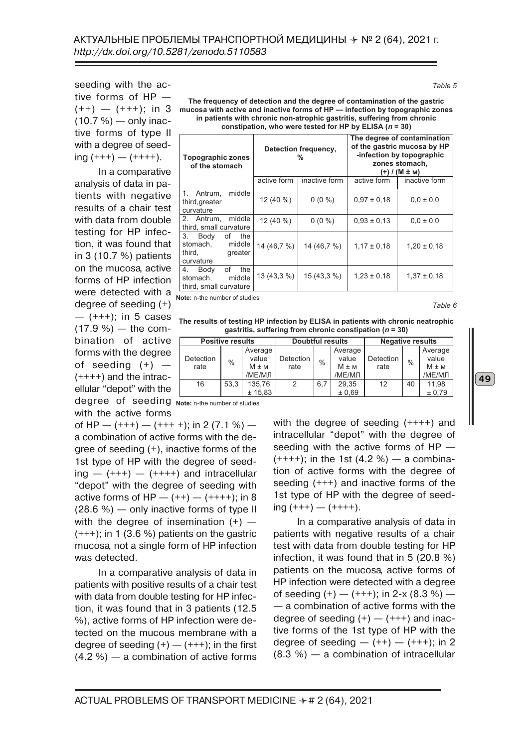seeding with the active forms of HP —  $(++) - (+++)$ ; in 3  $(10.7 %)$  — only inactive forms of type II with a degree of seed $ing (+++) - (+++)$ .

In a comparative analysis of data in patients with negative results of a chair test with data from double testing for HP infection, it was found that in 3 (10.7 %) patients on the mucosa, active forms of HP infection were detected with a degree of seeding (+)  $-$  (+++); in 5 cases  $(17.9 %) -$  the combination of active forms with the degree of seeding  $(+)$  - $(++++)$  and the intracellular "depot" with the degree of seeding **Note:** n-the number of studies with the active forms

of HP —  $(+++)$  —  $(+++)$ ; in 2 (7.1 %) a combination of active forms with the degree of seeding (+), inactive forms of the 1st type of HP with the degree of seed $ing - (+++) - (+++)$  and intracellular "depot" with the degree of seeding with active forms of  $HP - (++) - (++++)$ ; in 8 (28.6 %) — only inactive forms of type II with the degree of insemination  $(+)$  –  $(+++)$ ; in 1 (3.6 %) patients on the gastric mucosa, not a single form of HP infection was detected.

In a comparative analysis of data in patients with positive results of a chair test with data from double testing for HP infection, it was found that in 3 patients (12.5 %), active forms of HP infection were detected on the mucous membrane with a degree of seeding  $(+)$  —  $(+++)$ ; in the first (4.2 %) — a combination of active forms

**The frequency of detection and the degree of contamination of the gastric mucosa with active and inactive forms of HP — infection by topographic zones in patients with chronic non-atrophic gastritis, suffering from chronic constipation, who were tested for HP by ELISA (***n* **= 30)** 

| <b>Topographic zones</b><br>of the stomach                                   |              | Detection frequency,<br>% | The degree of contamination<br>of the gastric mucosa by HP<br>-infection by topographic<br>zones stomach,<br>(+) / (M ± м) |                 |  |
|------------------------------------------------------------------------------|--------------|---------------------------|----------------------------------------------------------------------------------------------------------------------------|-----------------|--|
|                                                                              | active form  | inactive form             | active form                                                                                                                | inactive form   |  |
| 1.<br>middle<br>Antrum,<br>third, greater<br>curvature                       | $12(40\%)$   | $0(0\%)$                  | $0.97 \pm 0.18$                                                                                                            | $0.0 \pm 0.0$   |  |
| middle<br>2. Antrum,<br>third, small curvature                               | 12 (40 %)    | $0(0\%)$                  | $0.93 \pm 0.13$                                                                                                            | $0.0 \pm 0.0$   |  |
| 3. Body<br>οf<br>the<br>middle<br>stomach.<br>third.<br>greater<br>curvature | 14 (46,7 %)  | 14 (46,7 %)               | $1.17 \pm 0.18$                                                                                                            | $1,20 \pm 0,18$ |  |
| of<br>4.<br>the<br>Body<br>middle<br>stomach.<br>third, small curvature      | $13(43,3\%)$ | $15(43,3\%)$              | $1.23 \pm 0.18$                                                                                                            | $1.37 \pm 0.18$ |  |

**Note:** n-the number of studies

*Table 6*

49

**The results of testing HP infection by ELISA in patients with chronic neatrophic gastritis, suffering from chronic constipation (***n* **= 30)** 

|           | <b>Positive results</b> |           |                  | <b>Doubtful results</b> |           |           | <b>Negative results</b> |           |  |
|-----------|-------------------------|-----------|------------------|-------------------------|-----------|-----------|-------------------------|-----------|--|
|           |                         | Average   |                  |                         | Average   |           |                         | Average   |  |
| Detection | $\%$                    | value     | <b>Detection</b> | $\%$                    | value     | Detection | $\%$                    | value     |  |
| rate      |                         | $M \pm M$ | rate             |                         | $M \pm M$ | rate      |                         | $M \pm M$ |  |
|           |                         | /МЕ/МЛ    |                  |                         | /МЕ/МЛ    |           |                         | /МЕ/МЛ    |  |
| 16        | 53.3                    | 135,76    | 2                | 6,7                     | 29.35     | 12        | 40                      | 11,98     |  |
|           |                         | ± 15.83   |                  |                         | ± 0.69    |           |                         | ± 0,79    |  |

with the degree of seeding (++++) and intracellular "depot" with the degree of seeding with the active forms of HP  $(++++)$ ; in the 1st  $(4.2 %)$  – a combination of active forms with the degree of seeding (+++) and inactive forms of the 1st type of HP with the degree of seed $ing (+++) - (+++)$ .

In a comparative analysis of data in patients with negative results of a chair test with data from double testing for HP infection, it was found that in 5 (20.8 %) patients on the mucosa, active forms of HP infection were detected with a degree of seeding  $(+)$  —  $(+++)$ ; in 2-x  $(8.3\%)$  — — a combination of active forms with the degree of seeding  $(+)$  —  $(+++)$  and inactive forms of the 1st type of HP with the degree of seeding  $- (++) - (++)$ ; in 2 (8.3 %) — a combination of intracellular

*Table 5*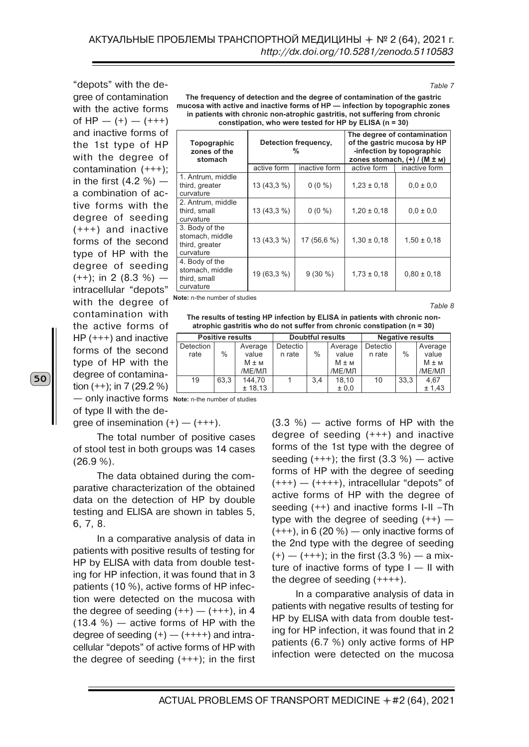"depots" with the degree of contamination with the active forms of HP —  $(+)$  —  $(++)$ and inactive forms of the 1st type of HP with the degree of contamination (+++); in the first  $(4.2 %)$  a combination of active forms with the degree of seeding (+++) and inactive forms of the second type of HP with the degree of seeding  $(++)$ ; in 2 (8.3 %) intracellular "depots" with the degree of contamination with the active forms of HP (+++) and inactive forms of the second type of HP with the degree of contamination (++); in 7 (29.2 %)

| The frequency of detection and the degree of contamination of the gastric    |
|------------------------------------------------------------------------------|
| mucosa with active and inactive forms of HP — infection by topographic zones |
| in patients with chronic non-atrophic gastritis, not suffering from chronic  |
| constipation, who were tested for HP by ELISA $(n = 30)$                     |

| Topographic<br>zones of the<br>stomach                           |             | Detection frequency,<br>$\frac{9}{6}$ | The degree of contamination<br>of the gastric mucosa by HP<br>-infection by topographic<br>zones stomach, $(+)$ / (M $\pm$ M) |                 |  |
|------------------------------------------------------------------|-------------|---------------------------------------|-------------------------------------------------------------------------------------------------------------------------------|-----------------|--|
|                                                                  | active form | inactive form                         | active form                                                                                                                   | inactive form   |  |
| 1. Antrum, middle<br>third, greater<br>curvature                 | 13 (43,3 %) | $0(0\%)$                              | $1,23 \pm 0,18$                                                                                                               | $0.0 \pm 0.0$   |  |
| 2. Antrum, middle<br>third, small<br>curvature                   | 13 (43,3 %) | $0(0\%)$                              | $1,20 \pm 0,18$                                                                                                               | $0.0 \pm 0.0$   |  |
| 3. Body of the<br>stomach, middle<br>third, greater<br>curvature | 13 (43,3 %) | 17 (56,6 %)                           | $1,30 \pm 0,18$                                                                                                               | $1,50 \pm 0,18$ |  |
| 4. Body of the<br>stomach, middle<br>third, small<br>curvature   | 19 (63,3 %) | $9(30\%)$                             | $1,73 \pm 0,18$                                                                                                               | $0.80 \pm 0.18$ |  |

**Note:** n-the number of studies

*Table 8*

*Table 7*

**The results of testing HP infection by ELISA in patients with chronic nonatrophic gastritis who do not suffer from chronic constipation (n = 30)** 

|           | <b>Positive results</b> |           | <b>Doubtful results</b> |     |           | <b>Negative results</b> |               |           |
|-----------|-------------------------|-----------|-------------------------|-----|-----------|-------------------------|---------------|-----------|
| Detection |                         | Average   | Detectio                |     | Average   | Detectio                |               | Average   |
| rate      | $\%$                    | value     | n rate                  | ℅   | value     | n rate                  | $\frac{0}{0}$ | value     |
|           |                         | $M \pm M$ |                         |     | $M \pm M$ |                         |               | $M \pm M$ |
|           |                         | /МЕ/МЛ    |                         |     | /МЕ/МЛ    |                         |               | /МЕ/МЛ    |
| 19        | 63.3                    | 144.70    |                         | 3.4 | 18.10     | 10                      | 33.3          | 4.67      |
|           |                         | ± 18,13   |                         |     | ± 0.0     |                         |               | ± 1,43    |

— only inactive forms **Note:** n-the number of studies

of type II with the dearee of insemination  $(+)$  —  $(+++)$ .

The total number of positive cases of stool test in both groups was 14 cases (26.9 %).

The data obtained during the comparative characterization of the obtained data on the detection of HP by double testing and ELISA are shown in tables 5, 6, 7, 8.

In a comparative analysis of data in patients with positive results of testing for HP by ELISA with data from double testing for HP infection, it was found that in 3 patients (10 %), active forms of HP infection were detected on the mucosa with the degree of seeding  $(++)$  —  $(+++)$ , in 4  $(13.4 \%)$  — active forms of HP with the degree of seeding  $(+)$  —  $(+++)$  and intracellular "depots" of active forms of HP with the degree of seeding  $(+++)$ ; in the first

(3.3 %) — active forms of HP with the degree of seeding (+++) and inactive forms of the 1st type with the degree of seeding  $(+++)$ ; the first  $(3.3 %)$  – active forms of HP with the degree of seeding  $(+++)$  —  $(+++)$ , intracellular "depots" of active forms of HP with the degree of seeding (++) and inactive forms I-II –Th type with the degree of seeding  $(++)$  –  $(+++)$ , in 6 (20 %) — only inactive forms of the 2nd type with the degree of seeding  $(+)$  — (+++); in the first (3.3 %) — a mixture of inactive forms of type  $I - II$  with the degree of seeding (++++).

In a comparative analysis of data in patients with negative results of testing for HP by ELISA with data from double testing for HP infection, it was found that in 2 patients (6.7 %) only active forms of HP infection were detected on the mucosa

ACTUAL PROBLEMS OF TRANSPORT MEDICINE + #2 (64), 2021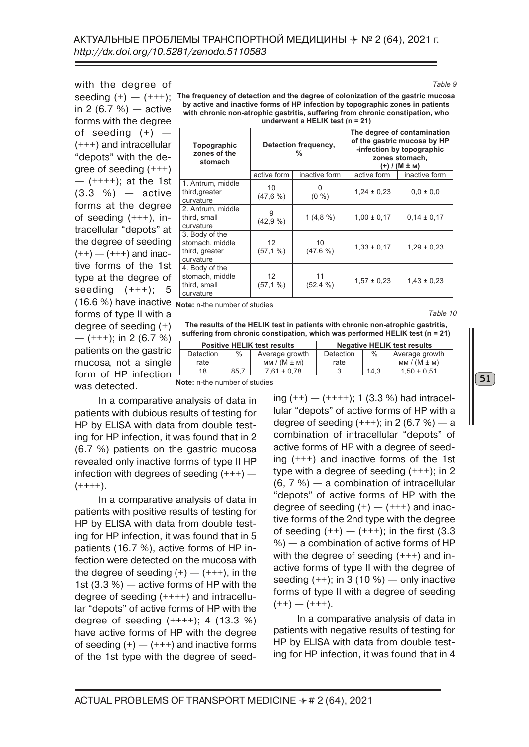with the degree of in 2  $(6.7 \%)$  — active forms with the degree of seeding  $(+)$  – (+++) and intracellular "depots" with the degree of seeding (+++)  $($ ++++ $)$ ; at the 1st  $(3.3 \, %)$  — active forms at the degree of seeding (+++), intracellular "depots" at the degree of seeding  $(++)$  —  $(+++)$  and inactive forms of the 1st type at the degree of seeding  $(+++)$ ; 5 (16.6 %) have inactive forms of type II with a degree of seeding (+)  $-$  (+++); in 2 (6.7 %) patients on the gastric mucosa, not a single form of HP infection was detected.

seeding (+) — (+++); **The frequency of detection and the degree of colonization of the gastric mucosa by active and inactive forms of HP infection by topographic zones in patients with chronic non-atrophic gastritis, suffering from chronic constipation, who underwent a HELIK test (n = 21)** 

| Topographic<br>zones of the<br>stomach                           |                                  | Detection frequency,<br>% | The degree of contamination<br>of the gastric mucosa by HP<br>-infection by topographic<br>zones stomach,<br>(+) / (М ± м) |                 |  |
|------------------------------------------------------------------|----------------------------------|---------------------------|----------------------------------------------------------------------------------------------------------------------------|-----------------|--|
|                                                                  | active form                      | inactive form             | active form                                                                                                                | inactive form   |  |
| 1. Antrum, middle<br>third, greater<br>curvature                 | 10<br>(47,6%)                    | $(0\% )$                  | $1,24 \pm 0,23$                                                                                                            | $0,0 \pm 0,0$   |  |
| 2. Antrum, middle<br>third, small<br>curvature                   | 9<br>(42,9%                      | 1(4,8%)                   | $1,00 \pm 0,17$                                                                                                            | $0.14 \pm 0.17$ |  |
| 3. Body of the<br>stomach, middle<br>third, greater<br>curvature | 12 <sup>2</sup><br>$(57, 1\%)$   | 10<br>$(47.6\% )$         | $1,33 \pm 0,17$                                                                                                            | $1,29 \pm 0,23$ |  |
| 4. Body of the<br>stomach, middle<br>third, small<br>curvature   | $12 \overline{ }$<br>$(57, 1\%)$ | 11<br>(52, 4%)            | $1,57 \pm 0,23$                                                                                                            | $1,43 \pm 0,23$ |  |

**Note:** n-the number of studies

**The results of the HELIK test in patients with chronic non-atrophic gastritis, suffering from chronic constipation, which was performed HELIK test (n = 21)** 

|           | <b>Positive HELIK test results</b> |                |           | <b>Negative HELIK test results</b> |                 |
|-----------|------------------------------------|----------------|-----------|------------------------------------|-----------------|
| Detection | ℅                                  | Average growth | Detection | $\%$                               | Average growth  |
| rate      |                                    | $MM/(M \pm M)$ | rate      |                                    | $MM/(M \pm M)$  |
| 18        | 85.                                | 7.61 ± 0.78    |           | 14.3                               | $1.50 \pm 0.51$ |

**Note:** n-the number of studies

In a comparative analysis of data in patients with dubious results of testing for HP by ELISA with data from double testing for HP infection, it was found that in 2 (6.7 %) patients on the gastric mucosa revealed only inactive forms of type II HP infection with degrees of seeding (+++) —  $(++++)$ .

In a comparative analysis of data in patients with positive results of testing for HP by ELISA with data from double testing for HP infection, it was found that in 5 patients (16.7 %), active forms of HP infection were detected on the mucosa with the degree of seeding  $(+)$  —  $(+++)$ , in the 1st (3.3 %) — active forms of HP with the degree of seeding (++++) and intracellular "depots" of active forms of HP with the degree of seeding  $(+++)$ ; 4 (13.3 %) have active forms of HP with the degree of seeding  $(+)$  —  $(+++)$  and inactive forms of the 1st type with the degree of seeding  $(++)$  —  $(++++)$ ; 1 (3.3 %) had intracellular "depots" of active forms of HP with a degree of seeding  $(+++)$ ; in 2 (6.7 %) — a combination of intracellular "depots" of active forms of HP with a degree of seeding (+++) and inactive forms of the 1st type with a degree of seeding (+++); in 2 (6, 7 %) — a combination of intracellular "depots" of active forms of HP with the degree of seeding  $(+)$  —  $(+++)$  and inactive forms of the 2nd type with the degree of seeding  $(++) - (+++)$ ; in the first (3.3) %) — a combination of active forms of HP with the degree of seeding (+++) and inactive forms of type II with the degree of seeding  $(++)$ ; in 3 (10 %) — only inactive forms of type II with a degree of seeding  $(++)$  —  $(+++)$ .

In a comparative analysis of data in patients with negative results of testing for HP by ELISA with data from double testing for HP infection, it was found that in 4

*Table 9*

*Table 10*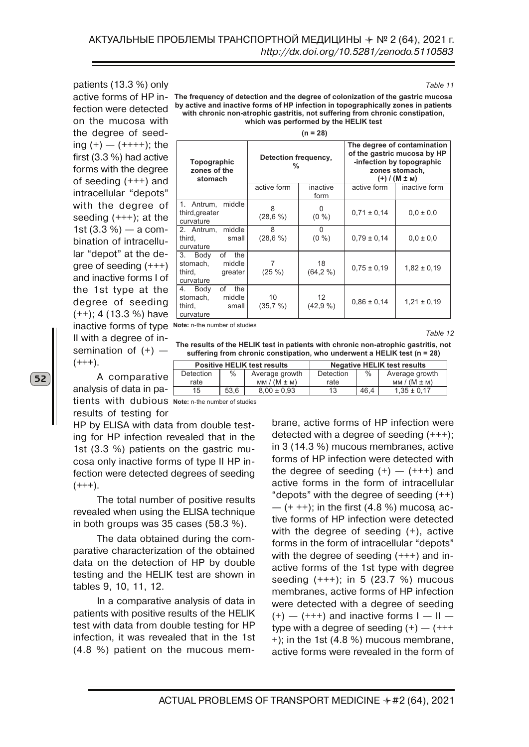patients (13.3 %) only fection were detected on the mucosa with the degree of seeding  $(+) - (+++)$ ; the first (3.3 %) had active forms with the degree of seeding (+++) and intracellular "depots" with the degree of seeding  $(+++)$ ; at the 1st  $(3.3 %)$  — a combination of intracellular "depot" at the degree of seeding (+++) and inactive forms I of the 1st type at the degree of seeding (++); 4 (13.3 %) have inactive forms of type **Note:** n-the number of studies II with a degree of insemination of  $(+)$  –  $(+++)$ .

A comparativ analysis of data in patients with dubious **Note:** n-the number of studies results of testing for

HP by ELISA with data from double testing for HP infection revealed that in the 1st (3.3 %) patients on the gastric mucosa only inactive forms of type II HP infection were detected degrees of seeding  $(+++)$ .

The total number of positive results revealed when using the ELISA technique in both groups was 35 cases (58.3 %).

The data obtained during the comparative characterization of the obtained data on the detection of HP by double testing and the HELIK test are shown in tables 9, 10, 11, 12.

In a comparative analysis of data in patients with positive results of the HELIK test with data from double testing for HP infection, it was revealed that in the 1st (4.8 %) patient on the mucous mem-

active forms of HP in- The frequency of detection and the degree of colonization of the gastric mucosa **by active and inactive forms of HP infection in topographically zones in patients with chronic non-atrophic gastritis, not suffering from chronic constipation, which was performed by the HELIK test** 

| <u>In</u> | 28) |  |
|-----------|-----|--|

| Topographic<br>zones of the<br>stomach                                       | Detection frequency,<br>% |                                 | The degree of contamination<br>of the gastric mucosa by HP<br>-infection by topographic<br>zones stomach,<br>$(+)$ / (M $\pm$ M) |                 |  |
|------------------------------------------------------------------------------|---------------------------|---------------------------------|----------------------------------------------------------------------------------------------------------------------------------|-----------------|--|
|                                                                              | active form               | inactive<br>form                | active form                                                                                                                      | inactive form   |  |
| 1. Antrum, middle<br>third, greater<br>curvature                             | 8<br>(28,6%)              | 0<br>$(0\% )$                   | $0.71 \pm 0.14$                                                                                                                  | $0.0 \pm 0.0$   |  |
| middle<br>2. Antrum,<br>third,<br>small<br>curvature                         | 8<br>(28,6%)              | 0<br>$(0\% )$                   | $0.79 \pm 0.14$                                                                                                                  | $0.0 \pm 0.0$   |  |
| of<br>3. Body<br>the<br>stomach,<br>middle<br>third,<br>greater<br>curvature | 7<br>$(25\%)$             | 18<br>(64, 2%)                  | $0.75 \pm 0.19$                                                                                                                  | $1,82 \pm 0,19$ |  |
| of<br>the<br>4. Body<br>stomach,<br>middle<br>third,<br>small<br>curvature   | 10<br>(35,7,%)            | $12 \overline{ }$<br>$(42,9\%)$ | $0.86 \pm 0.14$                                                                                                                  | $1,21 \pm 0,19$ |  |

*Table 12*

**The results of the HELIK test in patients with chronic non-atrophic gastritis, not suffering from chronic constipation, who underwent a HELIK test (n = 28)** 

|     | <b>Positive HELIK test results</b> |      |                 | <b>Negative HELIK test results</b> |      |                 |
|-----|------------------------------------|------|-----------------|------------------------------------|------|-----------------|
| re. | <b>Detection</b>                   | $\%$ | Average growth  | Detection                          | $\%$ | Average growth  |
|     | rate                               |      | $MM/(M \pm M)$  | rate                               |      | $MM/(M \pm M)$  |
| а-  | 15.                                | 53.6 | $8.00 \pm 0.93$ | 13                                 | 46.4 | $1.35 \pm 0.17$ |

brane, active forms of HP infection were detected with a degree of seeding (+++); in 3 (14.3 %) mucous membranes, active forms of HP infection were detected with the degree of seeding  $(+)$  –  $(+++)$  and active forms in the form of intracellular "depots" with the degree of seeding  $(++)$  $-$  (+ ++); in the first (4.8 %) mucosa, active forms of HP infection were detected with the degree of seeding (+), active forms in the form of intracellular "depots" with the degree of seeding (+++) and inactive forms of the 1st type with degree seeding  $(+++)$ ; in 5 (23.7 %) mucous membranes, active forms of HP infection were detected with a degree of seeding  $(+)$  —  $(++)$  and inactive forms  $I - II$  type with a degree of seeding  $(+)$  –  $(++)$ +); in the 1st (4.8 %) mucous membrane, active forms were revealed in the form of

52

*Table 11*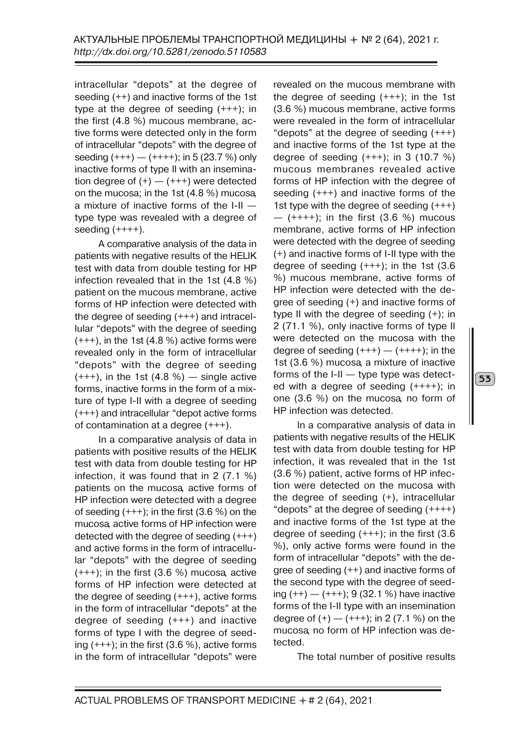intracellular "depots" at the degree of seeding (++) and inactive forms of the 1st type at the degree of seeding (+++); in the first (4.8 %) mucous membrane, active forms were detected only in the form of intracellular "depots" with the degree of seeding  $(+++) - (++++)$ ; in 5 (23.7 %) only inactive forms of type II with an insemination degree of  $(+)$  —  $(+++)$  were detected on the mucosa; in the 1st (4.8 %) mucosa, a mixture of inactive forms of the I-II type type was revealed with a degree of seeding  $(++++)$ .

A comparative analysis of the data in patients with negative results of the HELIK test with data from double testing for HP infection revealed that in the 1st (4.8 %) patient on the mucous membrane, active forms of HP infection were detected with the degree of seeding (+++) and intracellular "depots" with the degree of seeding (+++), in the 1st (4.8 %) active forms were revealed only in the form of intracellular "depots" with the degree of seeding  $(+++)$ , in the 1st  $(4.8 %)$  — single active forms, inactive forms in the form of a mixture of type I-II with a degree of seeding (+++) and intracellular "depot active forms of contamination at a degree (+++).

In a comparative analysis of data in patients with positive results of the HELIK test with data from double testing for HP infection, it was found that in 2 (7.1 %) patients on the mucosa, active forms of HP infection were detected with a degree of seeding  $(+++)$ ; in the first  $(3.6\%)$  on the mucosa, active forms of HP infection were detected with the degree of seeding (+++) and active forms in the form of intracellular "depots" with the degree of seeding  $(+++)$ ; in the first  $(3.6 %)$  mucosa, active forms of HP infection were detected at the degree of seeding (+++), active forms in the form of intracellular "depots" at the degree of seeding (+++) and inactive forms of type I with the degree of seeding  $(+++)$ ; in the first  $(3.6 %)$ , active forms in the form of intracellular "depots" were revealed on the mucous membrane with the degree of seeding (+++); in the 1st (3.6 %) mucous membrane, active forms were revealed in the form of intracellular "depots" at the degree of seeding (+++) and inactive forms of the 1st type at the degree of seeding  $(+++)$ ; in 3 (10.7 %) mucous membranes revealed active forms of HP infection with the degree of seeding (+++) and inactive forms of the 1st type with the degree of seeding (+++)  $-$  (++++); in the first (3.6 %) mucous membrane, active forms of HP infection were detected with the degree of seeding (+) and inactive forms of I-II type with the degree of seeding  $(+++)$ ; in the 1st  $(3.6)$ %) mucous membrane, active forms of HP infection were detected with the degree of seeding (+) and inactive forms of type II with the degree of seeding (+); in 2 (71.1 %), only inactive forms of type II were detected on the mucosa with the degree of seeding  $(+++)$  —  $(+++)$ ; in the 1st (3.6 %) mucosa, a mixture of inactive forms of the I-II — type type was detected with a degree of seeding (++++); in one (3.6 %) on the mucosa, no form of HP infection was detected.

In a comparative analysis of data in patients with negative results of the HELIK test with data from double testing for HP infection, it was revealed that in the 1st (3.6 %) patient, active forms of HP infection were detected on the mucosa with the degree of seeding (+), intracellular " depots" at the degree of seeding  $(+++)$ and inactive forms of the 1st type at the degree of seeding  $(+++)$ ; in the first  $(3.6)$ %), only active forms were found in the form of intracellular "depots" with the degree of seeding (++) and inactive forms of the second type with the degree of seeding  $(++)$  —  $(+++)$ ; 9 (32.1 %) have inactive forms of the I-II type with an insemination degree of  $(+)$  —  $(+++)$ ; in 2 (7.1 %) on the mucosa, no form of HP infection was detected.

The total number of positive results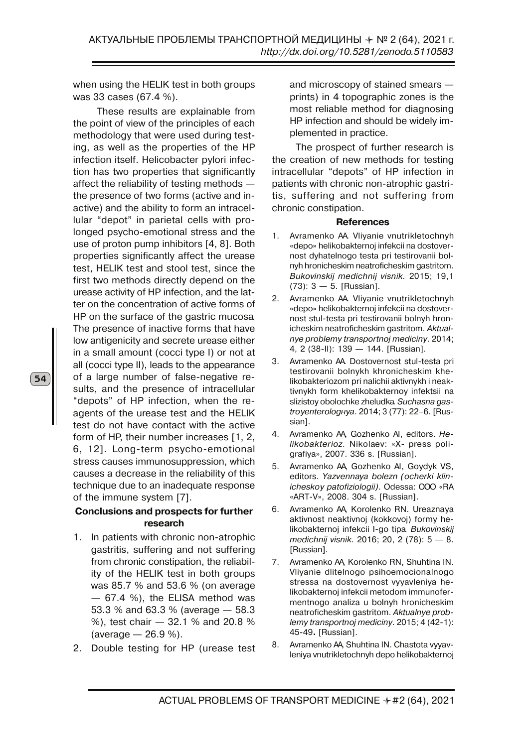when using the HELIK test in both groups was 33 cases (67.4 %).

These results are explainable from the point of view of the principles of each methodology that were used during testing, as well as the properties of the HP infection itself. Helicobacter pylori infection has two properties that significantly affect the reliability of testing methods the presence of two forms (active and inactive) and the ability to form an intracellular "depot" in parietal cells with prolonged psycho-emotional stress and the use of proton pump inhibitors [4, 8]. Both properties significantly affect the urease test, HELIK test and stool test, since the first two methods directly depend on the urease activity of HP infection, and the latter on the concentration of active forms of HP on the surface of the gastric mucosa. The presence of inactive forms that have low antigenicity and secrete urease either in a small amount (cocci type I) or not at all (cocci type II), leads to the appearance of a large number of false-negative results, and the presence of intracellular "depots" of HP infection, when the reagents of the urease test and the HELIK test do not have contact with the active form of HP, their number increases [1, 2, 6, 12]. Long-term psycho-emotional stress causes immunosuppression, which causes a decrease in the reliability of this technique due to an inadequate response of the immune system [7].

54

## **Conclusions and prospects for further research**

- 1. In patients with chronic non-atrophic gastritis, suffering and not suffering from chronic constipation, the reliability of the HELIK test in both groups was 85.7 % and 53.6 % (on average — 67.4 %), the ELISA method was 53.3 % and 63.3 % (average — 58.3 %), test chair — 32.1 % and 20.8 %  $(average - 26.9\%)$ .
- 2. Double testing for HP (urease test

and microscopy of stained smears prints) in 4 topographic zones is the most reliable method for diagnosing HP infection and should be widely implemented in practice.

The prospect of further research is the creation of new methods for testing intracellular "depots" of HP infection in patients with chronic non-atrophic gastritis, suffering and not suffering from chronic constipation.

#### **References**

- 1. Avramenko AA. Vliyanie vnutrikletochnyh «depo» helikobakternoj infekcii na dostovernost dyhatelnogo testa pri testirovanii bolnyh hronicheskim neatroficheskim gastritom. *Bukovinskij medichnij visnik.* 2015; 19,1  $(73): 3 - 5$ . [Russian].
- 2. Avramenko AA. Vliyanie vnutrikletochnyh «depo» helikobakternoj infekcii na dostovernost stul-testa pri testirovanii bolnyh hronicheskim neatroficheskim gastritom. *Aktualnye problemy transportnoj mediciny*. 2014; 4, 2 (38-II): 139 — 144. [Russian].
- 3. Avramenko AA. Dostovernost stul-testa pri testirovanii bolnykh khronicheskim khelikobakteriozom pri nalichii aktivnykh i neaktivnykh form khelikobakternoy infektsii na slizistoy obolochke zheludka. *Suchasna gastroyenterologнya*. 2014; 3 (77): 22–6. [Russian].
- 4. Avramenko AA, Gozhenko AI, editors. *Helikobakterioz.* Nikolaev: «Х- press poligrafiya», 2007. 336 s. [Russian].
- 5. Avramenko AA, Gozhenko AI, Goydyk VS, editors. *Yаzvennaya bolezn (ocherki klinicheskoy patofiziologii)*. Odessa: OOO «RA «ART-V», 2008. 304 s. [Russian].
- 6. Avramenko AA, Korolenko RN. Ureaznaya aktivnost neaktivnoj (kokkovoj) formy helikobakternoj infekcii I-go tipa. *Bukovinskij medichnij visnik.* 2016; 20, 2 (78): 5 — 8. [Russian].
- 7. Avramenko AA, Korolenko RN, Shuhtina IN. Vliyanie dlitelnogo psihoemocionalnogo stressa na dostovernost vyyavleniya helikobakternoj infekcii metodom immunofermentnogo analiza u bolnyh hronicheskim neatroficheskim gastritom. *Aktualnye problemy transportnoj mediciny*. 2015; 4 (42-1): 45-49**.** [Russian].
- 8. Avramenko AA, Shuhtina IN. Chastota vyyavleniya vnutrikletochnyh depo helikobakternoj